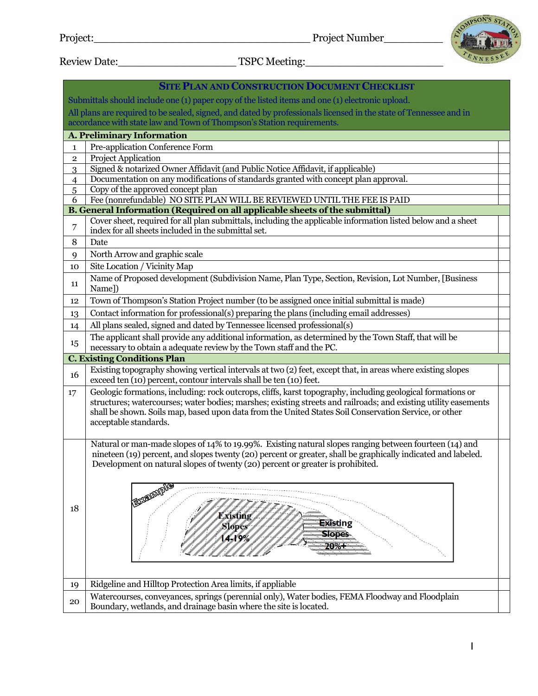

Review Date:\_\_\_\_\_\_\_\_\_\_\_\_\_\_\_\_\_\_ TSPC Meeting:\_\_\_\_\_\_\_\_\_\_\_\_\_\_\_\_\_\_\_\_\_

|                | <b>SITE PLAN AND CONSTRUCTION DOCUMENT CHECKLIST</b>                                                                                                                                                                                                                                                      |  |  |  |  |  |  |  |  |  |
|----------------|-----------------------------------------------------------------------------------------------------------------------------------------------------------------------------------------------------------------------------------------------------------------------------------------------------------|--|--|--|--|--|--|--|--|--|
|                | Submittals should include one (1) paper copy of the listed items and one (1) electronic upload.                                                                                                                                                                                                           |  |  |  |  |  |  |  |  |  |
|                | All plans are required to be sealed, signed, and dated by professionals licensed in the state of Tennessee and in                                                                                                                                                                                         |  |  |  |  |  |  |  |  |  |
|                | accordance with state law and Town of Thompson's Station requirements.                                                                                                                                                                                                                                    |  |  |  |  |  |  |  |  |  |
|                | <b>A. Preliminary Information</b>                                                                                                                                                                                                                                                                         |  |  |  |  |  |  |  |  |  |
| $\mathbf{1}$   | Pre-application Conference Form                                                                                                                                                                                                                                                                           |  |  |  |  |  |  |  |  |  |
| $\mathbf{2}$   | Project Application                                                                                                                                                                                                                                                                                       |  |  |  |  |  |  |  |  |  |
| 3              | Signed & notarized Owner Affidavit (and Public Notice Affidavit, if applicable)                                                                                                                                                                                                                           |  |  |  |  |  |  |  |  |  |
| $\overline{4}$ | Documentation on any modifications of standards granted with concept plan approval.                                                                                                                                                                                                                       |  |  |  |  |  |  |  |  |  |
| 6              | Copy of the approved concept plan<br>5<br>Fee (nonrefundable) NO SITE PLAN WILL BE REVIEWED UNTIL THE FEE IS PAID                                                                                                                                                                                         |  |  |  |  |  |  |  |  |  |
|                | B. General Information (Required on all applicable sheets of the submittal)                                                                                                                                                                                                                               |  |  |  |  |  |  |  |  |  |
|                | Cover sheet, required for all plan submittals, including the applicable information listed below and a sheet                                                                                                                                                                                              |  |  |  |  |  |  |  |  |  |
| $\overline{7}$ | index for all sheets included in the submittal set.                                                                                                                                                                                                                                                       |  |  |  |  |  |  |  |  |  |
| 8              | Date                                                                                                                                                                                                                                                                                                      |  |  |  |  |  |  |  |  |  |
| 9              | North Arrow and graphic scale                                                                                                                                                                                                                                                                             |  |  |  |  |  |  |  |  |  |
| 10             | Site Location / Vicinity Map                                                                                                                                                                                                                                                                              |  |  |  |  |  |  |  |  |  |
| 11             | Name of Proposed development (Subdivision Name, Plan Type, Section, Revision, Lot Number, [Business<br>Name])                                                                                                                                                                                             |  |  |  |  |  |  |  |  |  |
| 12             | Town of Thompson's Station Project number (to be assigned once initial submittal is made)                                                                                                                                                                                                                 |  |  |  |  |  |  |  |  |  |
| 13             | Contact information for professional(s) preparing the plans (including email addresses)                                                                                                                                                                                                                   |  |  |  |  |  |  |  |  |  |
| 14             | All plans sealed, signed and dated by Tennessee licensed professional(s)                                                                                                                                                                                                                                  |  |  |  |  |  |  |  |  |  |
| 15             | The applicant shall provide any additional information, as determined by the Town Staff, that will be<br>necessary to obtain a adequate review by the Town staff and the PC.                                                                                                                              |  |  |  |  |  |  |  |  |  |
|                | <b>C. Existing Conditions Plan</b>                                                                                                                                                                                                                                                                        |  |  |  |  |  |  |  |  |  |
| 16             | Existing topography showing vertical intervals at two (2) feet, except that, in areas where existing slopes<br>exceed ten (10) percent, contour intervals shall be ten (10) feet.                                                                                                                         |  |  |  |  |  |  |  |  |  |
| 17             | Geologic formations, including: rock outcrops, cliffs, karst topography, including geological formations or<br>structures; watercourses; water bodies; marshes; existing streets and railroads; and existing utility easements                                                                            |  |  |  |  |  |  |  |  |  |
|                | shall be shown. Soils map, based upon data from the United States Soil Conservation Service, or other<br>acceptable standards.                                                                                                                                                                            |  |  |  |  |  |  |  |  |  |
|                | Natural or man-made slopes of 14% to 19.99%. Existing natural slopes ranging between fourteen (14) and<br>nineteen (19) percent, and slopes twenty (20) percent or greater, shall be graphically indicated and labeled.<br>Development on natural slopes of twenty (20) percent or greater is prohibited. |  |  |  |  |  |  |  |  |  |
| 18             | <b>Existing</b><br><b>Existing</b><br><b>Slopes</b><br><b>Slopes</b><br>$4 - 19%$<br>$20%$ +                                                                                                                                                                                                              |  |  |  |  |  |  |  |  |  |
| 19             | Ridgeline and Hilltop Protection Area limits, if appliable                                                                                                                                                                                                                                                |  |  |  |  |  |  |  |  |  |
| 20             | Watercourses, conveyances, springs (perennial only), Water bodies, FEMA Floodway and Floodplain                                                                                                                                                                                                           |  |  |  |  |  |  |  |  |  |
|                | Boundary, wetlands, and drainage basin where the site is located.                                                                                                                                                                                                                                         |  |  |  |  |  |  |  |  |  |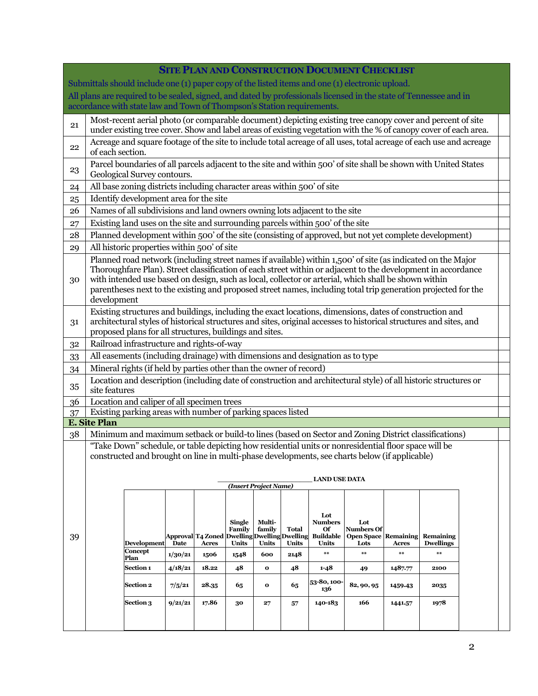|                                                                                                                   | <b>SITE PLAN AND CONSTRUCTION DOCUMENT CHECKLIST</b>                                                                                                                                                                                                                                                                                                                                                                                                                |                                                                                                                                                                                                             |         |                                   |                         |                                     |       |                           |                                     |              |                               |  |  |  |
|-------------------------------------------------------------------------------------------------------------------|---------------------------------------------------------------------------------------------------------------------------------------------------------------------------------------------------------------------------------------------------------------------------------------------------------------------------------------------------------------------------------------------------------------------------------------------------------------------|-------------------------------------------------------------------------------------------------------------------------------------------------------------------------------------------------------------|---------|-----------------------------------|-------------------------|-------------------------------------|-------|---------------------------|-------------------------------------|--------------|-------------------------------|--|--|--|
| Submittals should include one (1) paper copy of the listed items and one (1) electronic upload.                   |                                                                                                                                                                                                                                                                                                                                                                                                                                                                     |                                                                                                                                                                                                             |         |                                   |                         |                                     |       |                           |                                     |              |                               |  |  |  |
| All plans are required to be sealed, signed, and dated by professionals licensed in the state of Tennessee and in |                                                                                                                                                                                                                                                                                                                                                                                                                                                                     |                                                                                                                                                                                                             |         |                                   |                         |                                     |       |                           |                                     |              |                               |  |  |  |
|                                                                                                                   |                                                                                                                                                                                                                                                                                                                                                                                                                                                                     | accordance with state law and Town of Thompson's Station requirements.                                                                                                                                      |         |                                   |                         |                                     |       |                           |                                     |              |                               |  |  |  |
| 21                                                                                                                | Most-recent aerial photo (or comparable document) depicting existing tree canopy cover and percent of site<br>under existing tree cover. Show and label areas of existing vegetation with the % of canopy cover of each area.                                                                                                                                                                                                                                       |                                                                                                                                                                                                             |         |                                   |                         |                                     |       |                           |                                     |              |                               |  |  |  |
| 22                                                                                                                | Acreage and square footage of the site to include total acreage of all uses, total acreage of each use and acreage<br>of each section.                                                                                                                                                                                                                                                                                                                              |                                                                                                                                                                                                             |         |                                   |                         |                                     |       |                           |                                     |              |                               |  |  |  |
| 23                                                                                                                | Parcel boundaries of all parcels adjacent to the site and within 500' of site shall be shown with United States<br>Geological Survey contours.                                                                                                                                                                                                                                                                                                                      |                                                                                                                                                                                                             |         |                                   |                         |                                     |       |                           |                                     |              |                               |  |  |  |
| 24                                                                                                                | All base zoning districts including character areas within 500' of site                                                                                                                                                                                                                                                                                                                                                                                             |                                                                                                                                                                                                             |         |                                   |                         |                                     |       |                           |                                     |              |                               |  |  |  |
| 25                                                                                                                | Identify development area for the site                                                                                                                                                                                                                                                                                                                                                                                                                              |                                                                                                                                                                                                             |         |                                   |                         |                                     |       |                           |                                     |              |                               |  |  |  |
| 26                                                                                                                | Names of all subdivisions and land owners owning lots adjacent to the site                                                                                                                                                                                                                                                                                                                                                                                          |                                                                                                                                                                                                             |         |                                   |                         |                                     |       |                           |                                     |              |                               |  |  |  |
| 27                                                                                                                | Existing land uses on the site and surrounding parcels within 500' of the site                                                                                                                                                                                                                                                                                                                                                                                      |                                                                                                                                                                                                             |         |                                   |                         |                                     |       |                           |                                     |              |                               |  |  |  |
| 28                                                                                                                | Planned development within 500' of the site (consisting of approved, but not yet complete development)                                                                                                                                                                                                                                                                                                                                                              |                                                                                                                                                                                                             |         |                                   |                         |                                     |       |                           |                                     |              |                               |  |  |  |
| 29                                                                                                                |                                                                                                                                                                                                                                                                                                                                                                                                                                                                     | All historic properties within 500' of site                                                                                                                                                                 |         |                                   |                         |                                     |       |                           |                                     |              |                               |  |  |  |
| 30                                                                                                                | Planned road network (including street names if available) within 1,500' of site (as indicated on the Major<br>Thoroughfare Plan). Street classification of each street within or adjacent to the development in accordance<br>with intended use based on design, such as local, collector or arterial, which shall be shown within<br>parentheses next to the existing and proposed street names, including total trip generation projected for the<br>development |                                                                                                                                                                                                             |         |                                   |                         |                                     |       |                           |                                     |              |                               |  |  |  |
| 31                                                                                                                | Existing structures and buildings, including the exact locations, dimensions, dates of construction and<br>architectural styles of historical structures and sites, original accesses to historical structures and sites, and<br>proposed plans for all structures, buildings and sites.                                                                                                                                                                            |                                                                                                                                                                                                             |         |                                   |                         |                                     |       |                           |                                     |              |                               |  |  |  |
| 32                                                                                                                |                                                                                                                                                                                                                                                                                                                                                                                                                                                                     | Railroad infrastructure and rights-of-way                                                                                                                                                                   |         |                                   |                         |                                     |       |                           |                                     |              |                               |  |  |  |
| 33                                                                                                                |                                                                                                                                                                                                                                                                                                                                                                                                                                                                     | All easements (including drainage) with dimensions and designation as to type                                                                                                                               |         |                                   |                         |                                     |       |                           |                                     |              |                               |  |  |  |
| 34                                                                                                                |                                                                                                                                                                                                                                                                                                                                                                                                                                                                     | Mineral rights (if held by parties other than the owner of record)                                                                                                                                          |         |                                   |                         |                                     |       |                           |                                     |              |                               |  |  |  |
| 35                                                                                                                | Location and description (including date of construction and architectural style) of all historic structures or<br>site features                                                                                                                                                                                                                                                                                                                                    |                                                                                                                                                                                                             |         |                                   |                         |                                     |       |                           |                                     |              |                               |  |  |  |
| 36                                                                                                                |                                                                                                                                                                                                                                                                                                                                                                                                                                                                     | Location and caliper of all specimen trees                                                                                                                                                                  |         |                                   |                         |                                     |       |                           |                                     |              |                               |  |  |  |
| 37                                                                                                                |                                                                                                                                                                                                                                                                                                                                                                                                                                                                     | Existing parking areas with number of parking spaces listed                                                                                                                                                 |         |                                   |                         |                                     |       |                           |                                     |              |                               |  |  |  |
|                                                                                                                   | <b>E. Site Plan</b>                                                                                                                                                                                                                                                                                                                                                                                                                                                 |                                                                                                                                                                                                             |         |                                   |                         |                                     |       |                           |                                     |              |                               |  |  |  |
| 38                                                                                                                |                                                                                                                                                                                                                                                                                                                                                                                                                                                                     | Minimum and maximum setback or build-to lines (based on Sector and Zoning District classifications)<br>"Take Down" schedule, or table depicting how residential units or nonresidential floor space will be |         |                                   |                         |                                     |       |                           |                                     |              |                               |  |  |  |
|                                                                                                                   |                                                                                                                                                                                                                                                                                                                                                                                                                                                                     |                                                                                                                                                                                                             |         |                                   |                         |                                     |       |                           |                                     |              |                               |  |  |  |
|                                                                                                                   | constructed and brought on line in multi-phase developments, see charts below (if applicable)                                                                                                                                                                                                                                                                                                                                                                       |                                                                                                                                                                                                             |         |                                   |                         |                                     |       |                           |                                     |              |                               |  |  |  |
|                                                                                                                   | <b>LAND USE DATA</b>                                                                                                                                                                                                                                                                                                                                                                                                                                                |                                                                                                                                                                                                             |         |                                   |                         |                                     |       |                           |                                     |              |                               |  |  |  |
|                                                                                                                   |                                                                                                                                                                                                                                                                                                                                                                                                                                                                     |                                                                                                                                                                                                             |         |                                   |                         | (Insert Project Name)               |       |                           |                                     |              |                               |  |  |  |
|                                                                                                                   |                                                                                                                                                                                                                                                                                                                                                                                                                                                                     |                                                                                                                                                                                                             |         |                                   |                         |                                     |       |                           |                                     |              |                               |  |  |  |
|                                                                                                                   |                                                                                                                                                                                                                                                                                                                                                                                                                                                                     |                                                                                                                                                                                                             |         |                                   |                         |                                     |       | Lot                       |                                     |              |                               |  |  |  |
|                                                                                                                   |                                                                                                                                                                                                                                                                                                                                                                                                                                                                     |                                                                                                                                                                                                             |         |                                   | <b>Single</b><br>Family | Multi-<br>family                    | Total | <b>Numbers</b><br>Of      | Lot<br><b>Numbers Of</b>            |              |                               |  |  |  |
| 39                                                                                                                |                                                                                                                                                                                                                                                                                                                                                                                                                                                                     | <b>Development</b>                                                                                                                                                                                          | Date    | Approval T4 Zoned<br><b>Acres</b> | Units                   | Dwelling Dwelling Dwelling<br>Units | Units | <b>Buildable</b><br>Units | <b>Open Space Remaining</b><br>Lots | <b>Acres</b> | Remaining<br><b>Dwellings</b> |  |  |  |
|                                                                                                                   |                                                                                                                                                                                                                                                                                                                                                                                                                                                                     | Concept<br>Plan                                                                                                                                                                                             | 1/30/21 | 1506                              | 1548                    | 600                                 | 2148  | $***$                     | $***$                               | $***$        | $***$                         |  |  |  |
|                                                                                                                   |                                                                                                                                                                                                                                                                                                                                                                                                                                                                     | Section 1                                                                                                                                                                                                   | 4/18/21 | 18.22                             | 48                      | $\mathbf 0$                         | 48    | $1 - 48$                  | 49                                  | 1487.77      | 2100                          |  |  |  |
|                                                                                                                   |                                                                                                                                                                                                                                                                                                                                                                                                                                                                     | <b>Section 2</b>                                                                                                                                                                                            | 7/5/21  | 28.35                             | 65                      | $\mathbf{o}$                        | 65    | 53-80, 100-<br>136        | 82, 90, 95                          | 1459.43      | 2035                          |  |  |  |
|                                                                                                                   |                                                                                                                                                                                                                                                                                                                                                                                                                                                                     | <b>Section 3</b>                                                                                                                                                                                            | 9/21/21 | 17.86                             | 30                      | 27                                  | 57    | 140-183                   | 166                                 | 1441.57      | 1978                          |  |  |  |
|                                                                                                                   |                                                                                                                                                                                                                                                                                                                                                                                                                                                                     |                                                                                                                                                                                                             |         |                                   |                         |                                     |       |                           |                                     |              |                               |  |  |  |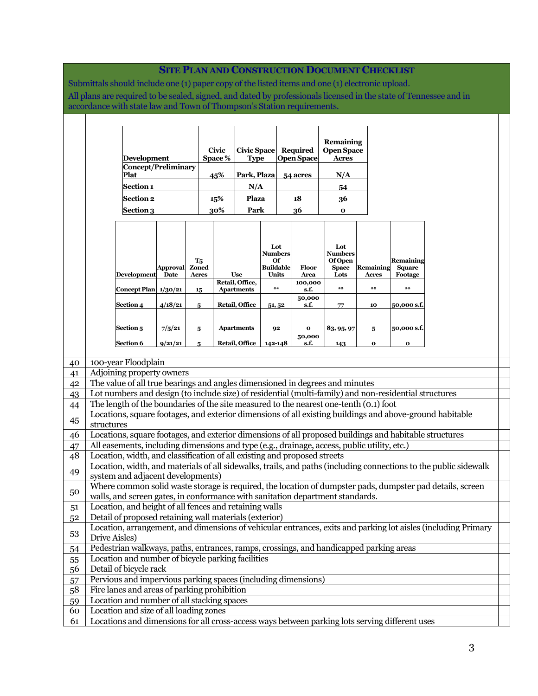## **SITE PLAN AND CONSTRUCTION DOCUMENT CHECKLIST**

Submittals should include one (1) paper copy of the listed items and one (1) electronic upload. All plans are required to be sealed, signed, and dated by professionals licensed in the state of Tennessee and in accordance with state law and Town of Thompson's Station requirements.

|                                    |                                                                                                                                                                                                                 | Development<br>Concept/Preliminary<br>Plat<br>Section 1<br><b>Section 2</b><br><b>Section 3</b>                                                                                            |                   |                                       | <b>Civic</b><br>Space %<br>45%<br>15%<br>30% | <b>Civic Space</b><br><b>Type</b><br>Park, Plaza<br>N/A<br>Plaza<br>Park |                                                   |  | <b>Required</b><br><b>Open Space</b><br>54 acres<br>18<br>36 | <b>Remaining</b><br><b>Open Space</b><br><b>Acres</b><br>N/A<br>54<br>36<br>$\mathbf{o}$ |  |                    |                                       |  |  |  |
|------------------------------------|-----------------------------------------------------------------------------------------------------------------------------------------------------------------------------------------------------------------|--------------------------------------------------------------------------------------------------------------------------------------------------------------------------------------------|-------------------|---------------------------------------|----------------------------------------------|--------------------------------------------------------------------------|---------------------------------------------------|--|--------------------------------------------------------------|------------------------------------------------------------------------------------------|--|--------------------|---------------------------------------|--|--|--|
|                                    |                                                                                                                                                                                                                 | <b>Development</b>                                                                                                                                                                         | Approval<br>Date  | $T_5$<br><b>Zoned</b><br><b>Acres</b> |                                              | <b>Use</b><br>Retail, Office,                                            | Lot<br>Numbers<br>Οf<br><b>Buildable</b><br>Units |  | Floor<br>Area<br>100,000                                     | Lot<br>Numbers<br><b>Of Open</b><br><b>Space</b><br>Lots                                 |  | Remaining<br>Acres | Remaining<br><b>Square</b><br>Footage |  |  |  |
|                                    |                                                                                                                                                                                                                 | Concept Plan 1/30/21<br>Section 4                                                                                                                                                          | 4/18/21           | 15<br>5                               |                                              | <b>Apartments</b><br>Retail, Office                                      | $***$<br>51,52                                    |  | s.f.<br>50,000<br>s.f.                                       | **<br>77                                                                                 |  | $***$<br>10        | $**$<br>50,000 s.f.                   |  |  |  |
|                                    |                                                                                                                                                                                                                 | Section 5<br>Section 6                                                                                                                                                                     | 7/5/21<br>9/21/21 | 5<br>5                                |                                              | <b>Apartments</b><br>Retail, Office                                      | 92<br>142-148                                     |  | $\mathbf{o}$<br>50,000<br>s.f.                               | 83, 95, 97<br>143                                                                        |  | 5<br>$\mathbf{o}$  | 50,000 s.f.<br>$\mathbf{o}$           |  |  |  |
|                                    |                                                                                                                                                                                                                 |                                                                                                                                                                                            |                   |                                       |                                              |                                                                          |                                                   |  |                                                              |                                                                                          |  |                    |                                       |  |  |  |
|                                    |                                                                                                                                                                                                                 | 100-year Floodplain                                                                                                                                                                        |                   |                                       |                                              |                                                                          |                                                   |  |                                                              |                                                                                          |  |                    |                                       |  |  |  |
|                                    |                                                                                                                                                                                                                 | Adjoining property owners                                                                                                                                                                  |                   |                                       |                                              |                                                                          |                                                   |  |                                                              |                                                                                          |  |                    |                                       |  |  |  |
|                                    |                                                                                                                                                                                                                 | The value of all true bearings and angles dimensioned in degrees and minutes                                                                                                               |                   |                                       |                                              |                                                                          |                                                   |  |                                                              |                                                                                          |  |                    |                                       |  |  |  |
| $\frac{40}{41}$<br>$\frac{42}{43}$ |                                                                                                                                                                                                                 | Lot numbers and design (to include size) of residential (multi-family) and non-residential structures                                                                                      |                   |                                       |                                              |                                                                          |                                                   |  |                                                              |                                                                                          |  |                    |                                       |  |  |  |
| 45                                 | The length of the boundaries of the site measured to the nearest one-tenth (0.1) foot<br>Locations, square footages, and exterior dimensions of all existing buildings and above-ground habitable<br>structures |                                                                                                                                                                                            |                   |                                       |                                              |                                                                          |                                                   |  |                                                              |                                                                                          |  |                    |                                       |  |  |  |
| <u>46</u>                          |                                                                                                                                                                                                                 | Locations, square footages, and exterior dimensions of all proposed buildings and habitable structures                                                                                     |                   |                                       |                                              |                                                                          |                                                   |  |                                                              |                                                                                          |  |                    |                                       |  |  |  |
| 47                                 | All easements, including dimensions and type (e.g., drainage, access, public utility, etc.)                                                                                                                     |                                                                                                                                                                                            |                   |                                       |                                              |                                                                          |                                                   |  |                                                              |                                                                                          |  |                    |                                       |  |  |  |
| 48                                 |                                                                                                                                                                                                                 | Location, width, and classification of all existing and proposed streets                                                                                                                   |                   |                                       |                                              |                                                                          |                                                   |  |                                                              |                                                                                          |  |                    |                                       |  |  |  |
| 49                                 | Location, width, and materials of all sidewalks, trails, and paths (including connections to the public sidewalk<br>system and adjacent developments)                                                           |                                                                                                                                                                                            |                   |                                       |                                              |                                                                          |                                                   |  |                                                              |                                                                                          |  |                    |                                       |  |  |  |
| 50                                 |                                                                                                                                                                                                                 | Where common solid waste storage is required, the location of dumpster pads, dumpster pad details, screen<br>walls, and screen gates, in conformance with sanitation department standards. |                   |                                       |                                              |                                                                          |                                                   |  |                                                              |                                                                                          |  |                    |                                       |  |  |  |
| 51                                 |                                                                                                                                                                                                                 | Location, and height of all fences and retaining walls                                                                                                                                     |                   |                                       |                                              |                                                                          |                                                   |  |                                                              |                                                                                          |  |                    |                                       |  |  |  |
| 5 <sup>2</sup>                     | Detail of proposed retaining wall materials (exterior)                                                                                                                                                          |                                                                                                                                                                                            |                   |                                       |                                              |                                                                          |                                                   |  |                                                              |                                                                                          |  |                    |                                       |  |  |  |

53 Location, arrangement, and dimensions of vehicular entrances, exits and parking lot aisles (including Primary Drive Aisles)

54 Pedestrian walkways, paths, entrances, ramps, crossings, and handicapped parking areas

55 Location and number of bicycle parking facilities

56 Detail of bicycle rack

57 Pervious and impervious parking spaces (including dimensions)

58 Fire lanes and areas of parking prohibition

59 Location and number of all stacking spaces

60 Location and size of all loading zones

61 Locations and dimensions for all cross-access ways between parking lots serving different uses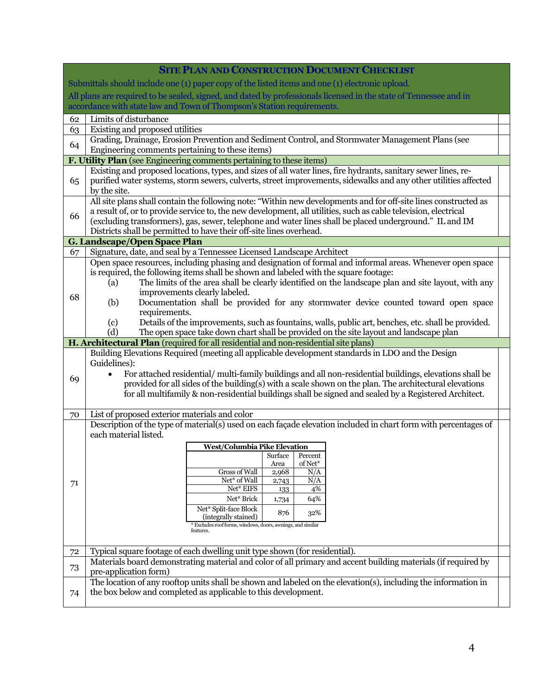|                                                                                                                 | <b>SITE PLAN AND CONSTRUCTION DOCUMENT CHECKLIST</b>                                                                                                                                                                              |  |  |  |  |  |  |  |  |  |  |  |
|-----------------------------------------------------------------------------------------------------------------|-----------------------------------------------------------------------------------------------------------------------------------------------------------------------------------------------------------------------------------|--|--|--|--|--|--|--|--|--|--|--|
|                                                                                                                 | Submittals should include one (1) paper copy of the listed items and one (1) electronic upload.                                                                                                                                   |  |  |  |  |  |  |  |  |  |  |  |
|                                                                                                                 | All plans are required to be sealed, signed, and dated by professionals licensed in the state of Tennessee and in                                                                                                                 |  |  |  |  |  |  |  |  |  |  |  |
|                                                                                                                 | accordance with state law and Town of Thompson's Station requirements.                                                                                                                                                            |  |  |  |  |  |  |  |  |  |  |  |
| 62                                                                                                              | Limits of disturbance                                                                                                                                                                                                             |  |  |  |  |  |  |  |  |  |  |  |
| 63                                                                                                              | Existing and proposed utilities                                                                                                                                                                                                   |  |  |  |  |  |  |  |  |  |  |  |
| 64                                                                                                              | Grading, Drainage, Erosion Prevention and Sediment Control, and Stormwater Management Plans (see                                                                                                                                  |  |  |  |  |  |  |  |  |  |  |  |
|                                                                                                                 | Engineering comments pertaining to these items)                                                                                                                                                                                   |  |  |  |  |  |  |  |  |  |  |  |
|                                                                                                                 | <b>F. Utility Plan</b> (see Engineering comments pertaining to these items)                                                                                                                                                       |  |  |  |  |  |  |  |  |  |  |  |
|                                                                                                                 | Existing and proposed locations, types, and sizes of all water lines, fire hydrants, sanitary sewer lines, re-<br>purified water systems, storm sewers, culverts, street improvements, sidewalks and any other utilities affected |  |  |  |  |  |  |  |  |  |  |  |
| 65                                                                                                              | by the site.                                                                                                                                                                                                                      |  |  |  |  |  |  |  |  |  |  |  |
| All site plans shall contain the following note: "Within new developments and for off-site lines constructed as |                                                                                                                                                                                                                                   |  |  |  |  |  |  |  |  |  |  |  |
|                                                                                                                 | a result of, or to provide service to, the new development, all utilities, such as cable television, electrical                                                                                                                   |  |  |  |  |  |  |  |  |  |  |  |
| 66                                                                                                              | (excluding transformers), gas, sewer, telephone and water lines shall be placed underground." IL and IM                                                                                                                           |  |  |  |  |  |  |  |  |  |  |  |
|                                                                                                                 | Districts shall be permitted to have their off-site lines overhead.                                                                                                                                                               |  |  |  |  |  |  |  |  |  |  |  |
|                                                                                                                 | G. Landscape/Open Space Plan                                                                                                                                                                                                      |  |  |  |  |  |  |  |  |  |  |  |
| 67                                                                                                              | Signature, date, and seal by a Tennessee Licensed Landscape Architect                                                                                                                                                             |  |  |  |  |  |  |  |  |  |  |  |
|                                                                                                                 | Open space resources, including phasing and designation of formal and informal areas. Whenever open space                                                                                                                         |  |  |  |  |  |  |  |  |  |  |  |
|                                                                                                                 | is required, the following items shall be shown and labeled with the square footage:                                                                                                                                              |  |  |  |  |  |  |  |  |  |  |  |
|                                                                                                                 | The limits of the area shall be clearly identified on the landscape plan and site layout, with any<br>(a)                                                                                                                         |  |  |  |  |  |  |  |  |  |  |  |
| 68                                                                                                              | improvements clearly labeled.                                                                                                                                                                                                     |  |  |  |  |  |  |  |  |  |  |  |
|                                                                                                                 | Documentation shall be provided for any stormwater device counted toward open space<br>(b)<br>requirements.                                                                                                                       |  |  |  |  |  |  |  |  |  |  |  |
|                                                                                                                 | Details of the improvements, such as fountains, walls, public art, benches, etc. shall be provided.<br>(c)                                                                                                                        |  |  |  |  |  |  |  |  |  |  |  |
|                                                                                                                 | (d)<br>The open space take down chart shall be provided on the site layout and landscape plan                                                                                                                                     |  |  |  |  |  |  |  |  |  |  |  |
|                                                                                                                 | H. Architectural Plan (required for all residential and non-residential site plans)                                                                                                                                               |  |  |  |  |  |  |  |  |  |  |  |
|                                                                                                                 | Building Elevations Required (meeting all applicable development standards in LDO and the Design                                                                                                                                  |  |  |  |  |  |  |  |  |  |  |  |
|                                                                                                                 | Guidelines):                                                                                                                                                                                                                      |  |  |  |  |  |  |  |  |  |  |  |
| 69                                                                                                              | For attached residential/ multi-family buildings and all non-residential buildings, elevations shall be<br>$\bullet$                                                                                                              |  |  |  |  |  |  |  |  |  |  |  |
|                                                                                                                 | provided for all sides of the building(s) with a scale shown on the plan. The architectural elevations                                                                                                                            |  |  |  |  |  |  |  |  |  |  |  |
|                                                                                                                 | for all multifamily & non-residential buildings shall be signed and sealed by a Registered Architect.                                                                                                                             |  |  |  |  |  |  |  |  |  |  |  |
| 70                                                                                                              | List of proposed exterior materials and color                                                                                                                                                                                     |  |  |  |  |  |  |  |  |  |  |  |
|                                                                                                                 | Description of the type of material(s) used on each façade elevation included in chart form with percentages of                                                                                                                   |  |  |  |  |  |  |  |  |  |  |  |
|                                                                                                                 | each material listed.                                                                                                                                                                                                             |  |  |  |  |  |  |  |  |  |  |  |
|                                                                                                                 | West/Columbia Pike Elevation                                                                                                                                                                                                      |  |  |  |  |  |  |  |  |  |  |  |
|                                                                                                                 | Surface Percent                                                                                                                                                                                                                   |  |  |  |  |  |  |  |  |  |  |  |
|                                                                                                                 | of Net*<br>Area<br>Gross of Wall<br>N/A<br>2,968                                                                                                                                                                                  |  |  |  |  |  |  |  |  |  |  |  |
| 71                                                                                                              | Net* of Wall<br>N/A<br>2,743                                                                                                                                                                                                      |  |  |  |  |  |  |  |  |  |  |  |
|                                                                                                                 | Net* EIFS<br>4%<br>133                                                                                                                                                                                                            |  |  |  |  |  |  |  |  |  |  |  |
|                                                                                                                 | Net* Brick<br>64%<br>1,734                                                                                                                                                                                                        |  |  |  |  |  |  |  |  |  |  |  |
|                                                                                                                 | Net* Split-face Block<br>876<br>32%<br>(integrally stained)                                                                                                                                                                       |  |  |  |  |  |  |  |  |  |  |  |
|                                                                                                                 | Excludes roof forms, windows, doors, awnings, and similar                                                                                                                                                                         |  |  |  |  |  |  |  |  |  |  |  |
|                                                                                                                 | features.                                                                                                                                                                                                                         |  |  |  |  |  |  |  |  |  |  |  |
| 72                                                                                                              | Typical square footage of each dwelling unit type shown (for residential).                                                                                                                                                        |  |  |  |  |  |  |  |  |  |  |  |
|                                                                                                                 | Materials board demonstrating material and color of all primary and accent building materials (if required by                                                                                                                     |  |  |  |  |  |  |  |  |  |  |  |
| 73                                                                                                              | pre-application form)                                                                                                                                                                                                             |  |  |  |  |  |  |  |  |  |  |  |
|                                                                                                                 | The location of any rooftop units shall be shown and labeled on the elevation(s), including the information in                                                                                                                    |  |  |  |  |  |  |  |  |  |  |  |
| 74                                                                                                              | the box below and completed as applicable to this development.                                                                                                                                                                    |  |  |  |  |  |  |  |  |  |  |  |
|                                                                                                                 |                                                                                                                                                                                                                                   |  |  |  |  |  |  |  |  |  |  |  |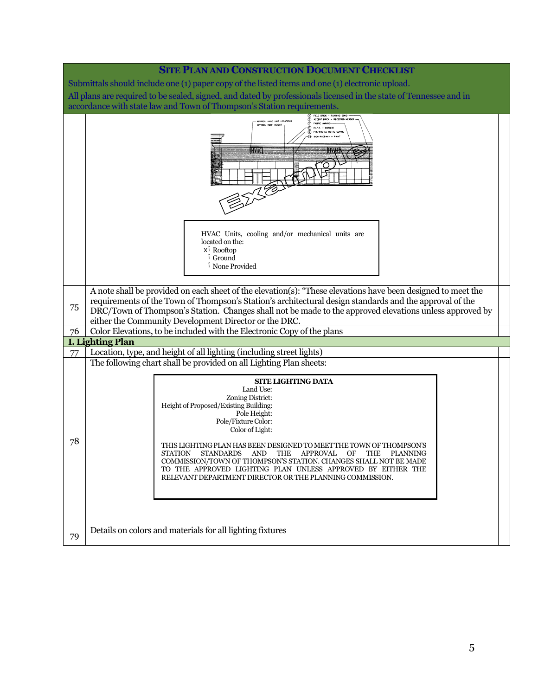